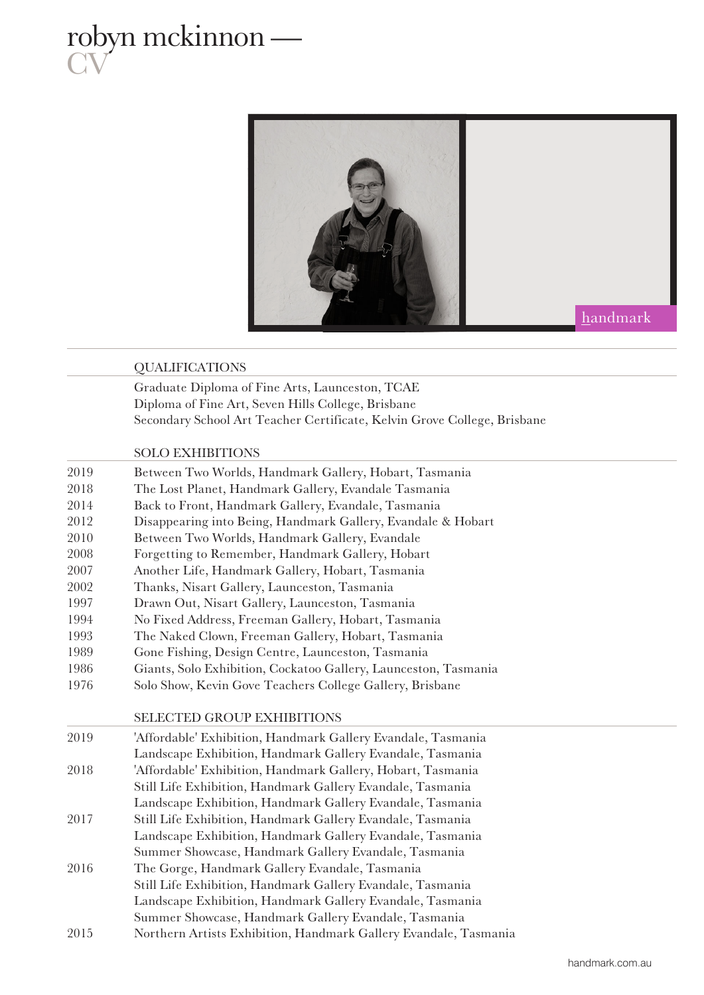# robyn mckinnon — **CV**



### QUALIFICATIONS

Graduate Diploma of Fine Arts, Launceston, TCAE Diploma of Fine Art, Seven Hills College, Brisbane Secondary School Art Teacher Certificate, Kelvin Grove College, Brisbane

## SOLO EXHIBITIONS

| 2019 | Between Two Worlds, Handmark Gallery, Hobart, Tasmania          |
|------|-----------------------------------------------------------------|
| 2018 | The Lost Planet, Handmark Gallery, Evandale Tasmania            |
| 2014 | Back to Front, Handmark Gallery, Evandale, Tasmania             |
| 2012 | Disappearing into Being, Handmark Gallery, Evandale & Hobart    |
| 2010 | Between Two Worlds, Handmark Gallery, Evandale                  |
| 2008 | Forgetting to Remember, Handmark Gallery, Hobart                |
| 2007 | Another Life, Handmark Gallery, Hobart, Tasmania                |
| 2002 | Thanks, Nisart Gallery, Launceston, Tasmania                    |
| 1997 | Drawn Out, Nisart Gallery, Launceston, Tasmania                 |
| 1994 | No Fixed Address, Freeman Gallery, Hobart, Tasmania             |
| 1993 | The Naked Clown, Freeman Gallery, Hobart, Tasmania              |
| 1989 | Gone Fishing, Design Centre, Launceston, Tasmania               |
| 1986 | Giants, Solo Exhibition, Cockatoo Gallery, Launceston, Tasmania |
| 1976 | Solo Show, Kevin Gove Teachers College Gallery, Brisbane        |
|      |                                                                 |
|      | <b>SELECTED GROUP EXHIBITIONS</b>                               |
| 2019 | 'Affordable' Exhibition, Handmark Gallery Evandale, Tasmania    |
|      | Landscape Exhibition, Handmark Gallery Evandale, Tasmania       |
| 2018 | 'Affordable' Exhibition, Handmark Gallery, Hobart, Tasmania     |
|      | Still Life Exhibition, Handmark Gallery Evandale, Tasmania      |
|      | Landscape Exhibition, Handmark Gallery Evandale, Tasmania       |
| 2017 | Still Life Exhibition, Handmark Gallery Evandale, Tasmania      |
|      | Landscape Exhibition, Handmark Gallery Evandale, Tasmania       |
|      | Summer Showcase, Handmark Gallery Evandale, Tasmania            |
| 2016 | The Gorge, Handmark Gallery Evandale, Tasmania                  |
|      | Still Life Exhibition, Handmark Gallery Evandale, Tasmania      |
|      | Landscape Exhibition, Handmark Gallery Evandale, Tasmania       |
|      | Summer Showcase, Handmark Gallery Evandale, Tasmania            |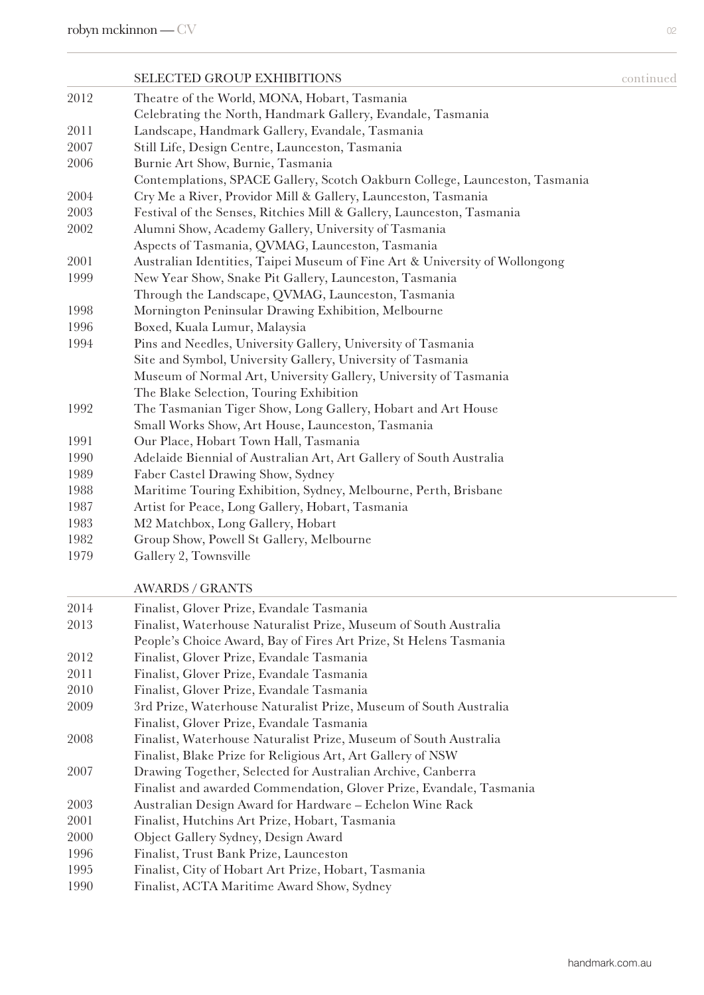# SELECTED GROUP EXHIBITIONS SELECTED GONLINUM Theatre of the World, MONA, Hobart, Tasmania Celebrating the North, Handmark Gallery, Evandale, Tasmania Landscape, Handmark Gallery, Evandale, Tasmania Still Life, Design Centre, Launceston, Tasmania Burnie Art Show, Burnie, Tasmania Contemplations, SPACE Gallery, Scotch Oakburn College, Launceston, Tasmania Cry Me a River, Providor Mill & Gallery, Launceston, Tasmania Festival of the Senses, Ritchies Mill & Gallery, Launceston, Tasmania Alumni Show, Academy Gallery, University of Tasmania Aspects of Tasmania, QVMAG, Launceston, Tasmania Australian Identities, Taipei Museum of Fine Art & University of Wollongong New Year Show, Snake Pit Gallery, Launceston, Tasmania Through the Landscape, QVMAG, Launceston, Tasmania Mornington Peninsular Drawing Exhibition, Melbourne Boxed, Kuala Lumur, Malaysia Pins and Needles, University Gallery, University of Tasmania Site and Symbol, University Gallery, University of Tasmania Museum of Normal Art, University Gallery, University of Tasmania The Blake Selection, Touring Exhibition The Tasmanian Tiger Show, Long Gallery, Hobart and Art House Small Works Show, Art House, Launceston, Tasmania Our Place, Hobart Town Hall, Tasmania Adelaide Biennial of Australian Art, Art Gallery of South Australia Faber Castel Drawing Show, Sydney Maritime Touring Exhibition, Sydney, Melbourne, Perth, Brisbane Artist for Peace, Long Gallery, Hobart, Tasmania M2 Matchbox, Long Gallery, Hobart Group Show, Powell St Gallery, Melbourne

Gallery 2, Townsville

## AWARDS / GRANTS

| 2014 | Finalist, Glover Prize, Evandale Tasmania                           |
|------|---------------------------------------------------------------------|
| 2013 | Finalist, Waterhouse Naturalist Prize, Museum of South Australia    |
|      | People's Choice Award, Bay of Fires Art Prize, St Helens Tasmania   |
| 2012 | Finalist, Glover Prize, Evandale Tasmania                           |
| 2011 | Finalist, Glover Prize, Evandale Tasmania                           |
| 2010 | Finalist, Glover Prize, Evandale Tasmania                           |
| 2009 | 3rd Prize, Waterhouse Naturalist Prize, Museum of South Australia   |
|      | Finalist, Glover Prize, Evandale Tasmania                           |
| 2008 | Finalist, Waterhouse Naturalist Prize, Museum of South Australia    |
|      | Finalist, Blake Prize for Religious Art, Art Gallery of NSW         |
| 2007 | Drawing Together, Selected for Australian Archive, Canberra         |
|      | Finalist and awarded Commendation, Glover Prize, Evandale, Tasmania |
| 2003 | Australian Design Award for Hardware – Echelon Wine Rack            |
| 2001 | Finalist, Hutchins Art Prize, Hobart, Tasmania                      |
| 2000 | Object Gallery Sydney, Design Award                                 |
| 1996 | Finalist, Trust Bank Prize, Launceston                              |
| 1995 | Finalist, City of Hobart Art Prize, Hobart, Tasmania                |
| 1990 | Finalist, ACTA Maritime Award Show, Sydney                          |